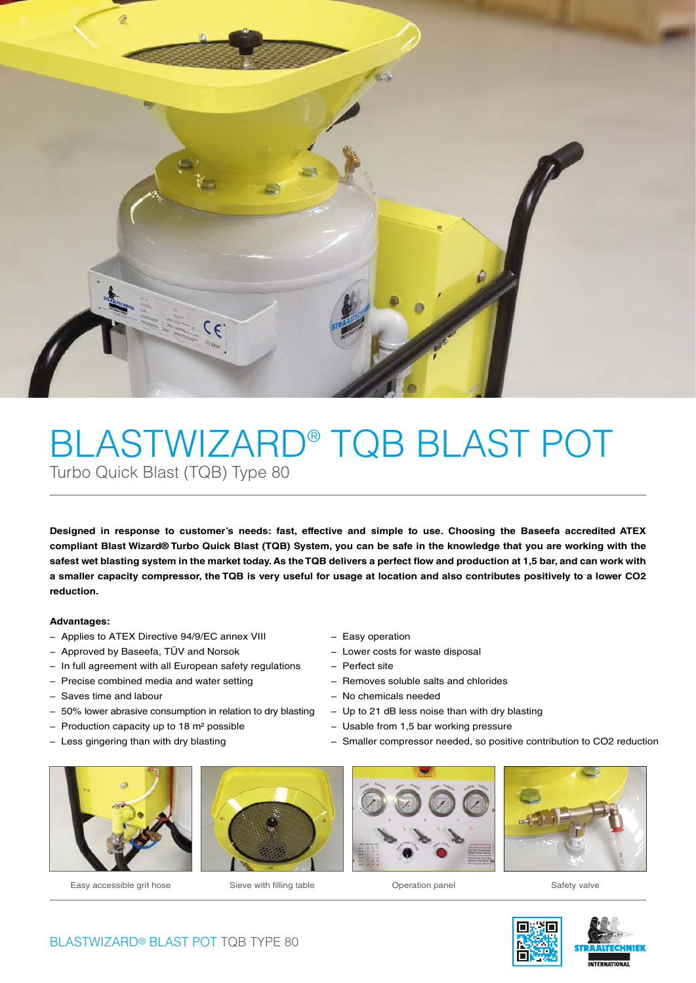

## BLASTWIZARD® TQB BLAST POT Turbo Quick Blast (TQB) Type 80

**Designed in response to customer's needs: fast, effective and simple to use. Choosing the Baseefa accredited ATEX compliant Blast Wizard® Turbo Quick Blast (TQB) System, you can be safe in the knowledge that you are working with the**  safest wet blasting system in the market today. As the TQB delivers a perfect flow and production at 1,5 bar, and can work with **a smaller capacity compressor, the TQB is very useful for usage at location and also contributes positively to a lower CO2 reduction.**

#### **Advantages:**

- − Applies to ATEX Directive 94/9/EC annex VIII
- − Approved by Baseefa, TÜV and Norsok
- − In full agreement with all European safety regulations
- − Precise combined media and water setting
- − Saves time and labour
- − 50% lower abrasive consumption in relation to dry blasting
- − Production capacity up to 18 m2 possible
- − Less gingering than with dry blasting



- − Lower costs for waste disposal
- − Perfect site
- − Removes soluble salts and chlorides
- − No chemicals needed
- − Up to 21 dB less noise than with dry blasting
- − Usable from 1,5 bar working pressure
- − Smaller compressor needed, so positive contribution to CO2 reduction



Easy accessible grit hose Sieve with filling table Operation panel Safety valve